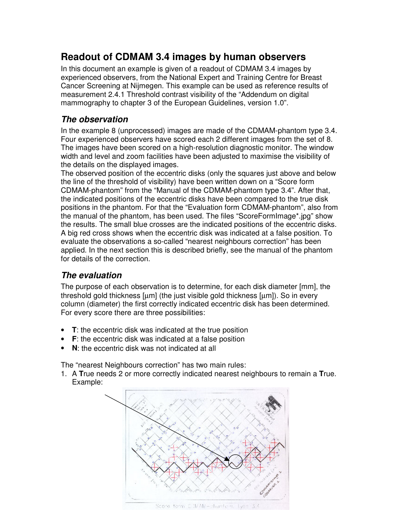## **Readout of CDMAM 3.4 images by human observers**

In this document an example is given of a readout of CDMAM 3.4 images by experienced observers, from the National Expert and Training Centre for Breast Cancer Screening at Nijmegen. This example can be used as reference results of measurement 2.4.1 Threshold contrast visibility of the "Addendum on digital mammography to chapter 3 of the European Guidelines, version 1.0".

## *The observation*

In the example 8 (unprocessed) images are made of the CDMAM-phantom type 3.4. Four experienced observers have scored each 2 different images from the set of 8. The images have been scored on a high-resolution diagnostic monitor. The window width and level and zoom facilities have been adjusted to maximise the visibility of the details on the displayed images.

The observed position of the eccentric disks (only the squares just above and below the line of the threshold of visibility) have been written down on a "Score form CDMAM-phantom" from the "Manual of the CDMAM-phantom type 3.4". After that, the indicated positions of the eccentric disks have been compared to the true disk positions in the phantom. For that the "Evaluation form CDMAM-phantom", also from the manual of the phantom, has been used. The files "ScoreFormImage\*.jpg" show the results. The small blue crosses are the indicated positions of the eccentric disks. A big red cross shows when the eccentric disk was indicated at a false position. To evaluate the observations a so-called "nearest neighbours correction" has been applied. In the next section this is described briefly, see the manual of the phantom for details of the correction.

## *The evaluation*

The purpose of each observation is to determine, for each disk diameter [mm], the threshold gold thickness [µm] (the just visible gold thickness [µm]). So in every column (diameter) the first correctly indicated eccentric disk has been determined. For every score there are three possibilities:

- **T**: the eccentric disk was indicated at the true position
- **F**: the eccentric disk was indicated at a false position
- **N**: the eccentric disk was not indicated at all

The "nearest Neighbours correction" has two main rules:

1. A **T**rue needs 2 or more correctly indicated nearest neighbours to remain a **T**rue. Example:



Score torm CDMAM-chartle in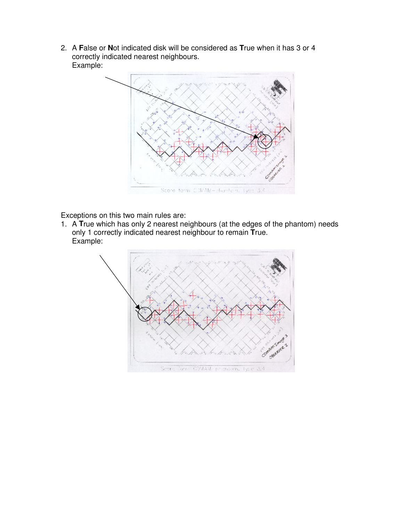2. A **F**alse or **N**ot indicated disk will be considered as **T**rue when it has 3 or 4 correctly indicated nearest neighbours. Example:



Exceptions on this two main rules are:

1. A **T**rue which has only 2 nearest neighbours (at the edges of the phantom) needs only 1 correctly indicated nearest neighbour to remain **T**rue. Example:

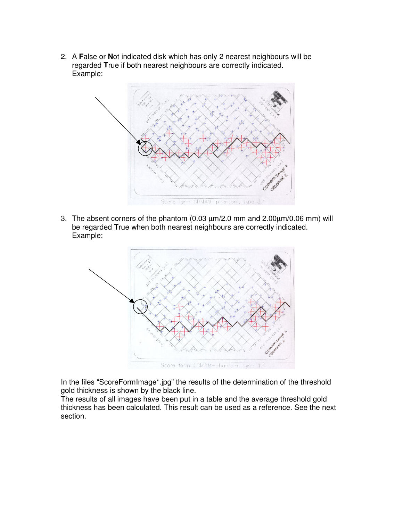2. A **F**alse or **N**ot indicated disk which has only 2 nearest neighbours will be regarded **T**rue if both nearest neighbours are correctly indicated. Example:



3. The absent corners of the phantom (0.03  $\mu$ m/2.0 mm and 2.00 $\mu$ m/0.06 mm) will be regarded **T**rue when both nearest neighbours are correctly indicated. Example:



In the files "ScoreFormImage\*.jpg" the results of the determination of the threshold gold thickness is shown by the black line.

The results of all images have been put in a table and the average threshold gold thickness has been calculated. This result can be used as a reference. See the next section.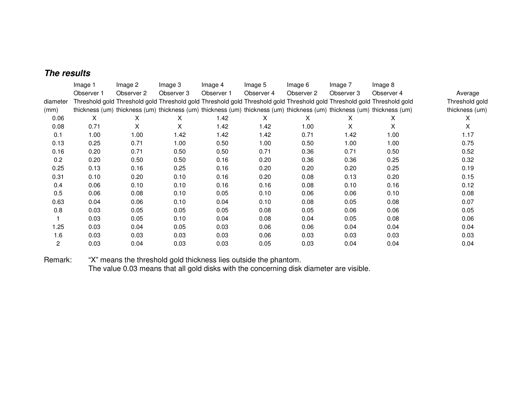## *The results*

|          | Image 1    | Image 2    | Image 3    | Image 4    | Image 5    | Image 6    | Image 7                                                                                                                 | Image 8    |                |
|----------|------------|------------|------------|------------|------------|------------|-------------------------------------------------------------------------------------------------------------------------|------------|----------------|
|          | Observer 1 | Observer 2 | Observer 3 | Observer 1 | Observer 4 | Observer 2 | Observer 3                                                                                                              | Observer 4 | Average        |
| diameter |            |            |            |            |            |            | Threshold gold Threshold gold Threshold gold Threshold gold Threshold gold Threshold gold Threshold gold Threshold gold |            | Threshold gold |
| (mm)     |            |            |            |            |            |            | thickness (um) thickness (um) thickness (um) thickness (um) thickness (um) thickness (um) thickness (um) thickness (um) |            | thickness (um) |
| 0.06     | X          | X          | X          | 1.42       | X          | X          | х                                                                                                                       | X          | X              |
| 0.08     | 0.71       | X          | X          | 1.42       | 1.42       | 1.00       | X                                                                                                                       | X.         | X.             |
| 0.1      | 1.00       | 1.00       | 1.42       | 1.42       | 1.42       | 0.71       | 1.42                                                                                                                    | 1.00       | 1.17           |
| 0.13     | 0.25       | 0.71       | 1.00       | 0.50       | 1.00       | 0.50       | 1.00                                                                                                                    | 1.00       | 0.75           |
| 0.16     | 0.20       | 0.71       | 0.50       | 0.50       | 0.71       | 0.36       | 0.71                                                                                                                    | 0.50       | 0.52           |
| 0.2      | 0.20       | 0.50       | 0.50       | 0.16       | 0.20       | 0.36       | 0.36                                                                                                                    | 0.25       | 0.32           |
| 0.25     | 0.13       | 0.16       | 0.25       | 0.16       | 0.20       | 0.20       | 0.20                                                                                                                    | 0.25       | 0.19           |
| 0.31     | 0.10       | 0.20       | 0.10       | 0.16       | 0.20       | 0.08       | 0.13                                                                                                                    | 0.20       | 0.15           |
| 0.4      | 0.06       | 0.10       | 0.10       | 0.16       | 0.16       | 0.08       | 0.10                                                                                                                    | 0.16       | 0.12           |
| 0.5      | 0.06       | 0.08       | 0.10       | 0.05       | 0.10       | 0.06       | 0.06                                                                                                                    | 0.10       | 0.08           |
| 0.63     | 0.04       | 0.06       | 0.10       | 0.04       | 0.10       | 0.08       | 0.05                                                                                                                    | 0.08       | 0.07           |
| 0.8      | 0.03       | 0.05       | 0.05       | 0.05       | 0.08       | 0.05       | 0.06                                                                                                                    | 0.06       | 0.05           |
|          | 0.03       | 0.05       | 0.10       | 0.04       | 0.08       | 0.04       | 0.05                                                                                                                    | 0.08       | 0.06           |
| 1.25     | 0.03       | 0.04       | 0.05       | 0.03       | 0.06       | 0.06       | 0.04                                                                                                                    | 0.04       | 0.04           |
| 1.6      | 0.03       | 0.03       | 0.03       | 0.03       | 0.06       | 0.03       | 0.03                                                                                                                    | 0.03       | 0.03           |
| 2        | 0.03       | 0.04       | 0.03       | 0.03       | 0.05       | 0.03       | 0.04                                                                                                                    | 0.04       | 0.04           |

Remark:: "X" means the threshold gold thickness lies outside the phantom.

The value 0.03 means that all gold disks with the concerning disk diameter are visible.